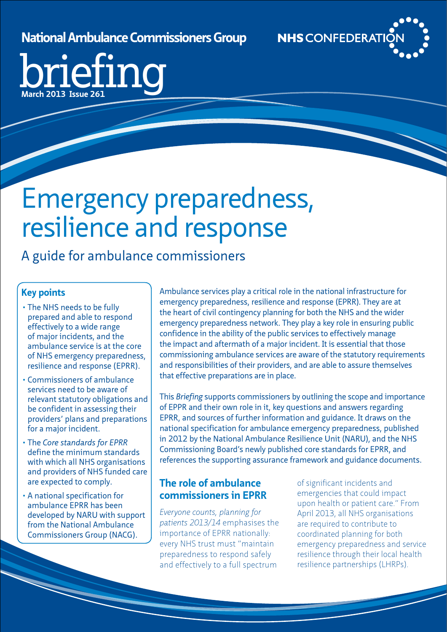## **National Ambulance Commissioners Group**



briefing **March 2013 Issue 261**

## Emergency preparedness, resilience and response

A guide for ambulance commissioners

## **Key points**

- The NHS needs to be fully prepared and able to respond effectively to a wide range of major incidents, and the ambulance service is at the core of NHS emergency preparedness, resilience and response (EPRR).
- • Commissioners of ambulance services need to be aware of relevant statutory obligations and be confident in assessing their providers' plans and preparations for a major incident.
- • The *Core standards for EPRR* define the minimum standards with which all NHS organisations and providers of NHS funded care are expected to comply.
- • A national specification for ambulance EPRR has been developed by NARU with support from the National Ambulance Commissioners Group (NACG).

Ambulance services play a critical role in the national infrastructure for emergency preparedness, resilience and response (EPRR). They are at the heart of civil contingency planning for both the NHS and the wider emergency preparedness network. They play a key role in ensuring public confidence in the ability of the public services to effectively manage the impact and aftermath of a major incident. It is essential that those commissioning ambulance services are aware of the statutory requirements and responsibilities of their providers, and are able to assure themselves that effective preparations are in place.

This *Briefing* supports commissioners by outlining the scope and importance of EPPR and their own role in it, key questions and answers regarding EPRR, and sources of further information and guidance. It draws on the national specification for ambulance emergency preparedness, published in 2012 by the National Ambulance Resilience Unit (NARU), and the NHS Commissioning Board's newly published core standards for EPRR, and references the supporting assurance framework and guidance documents.

## **The role of ambulance commissioners in EPRR**

*Everyone counts, planning for patients 2013/14* emphasises the importance of EPRR nationally: every NHS trust must "maintain preparedness to respond safely and effectively to a full spectrum

of significant incidents and emergencies that could impact upon health or patient care." From April 2013, all NHS organisations are required to contribute to coordinated planning for both emergency preparedness and service resilience through their local health resilience partnerships (LHRPs).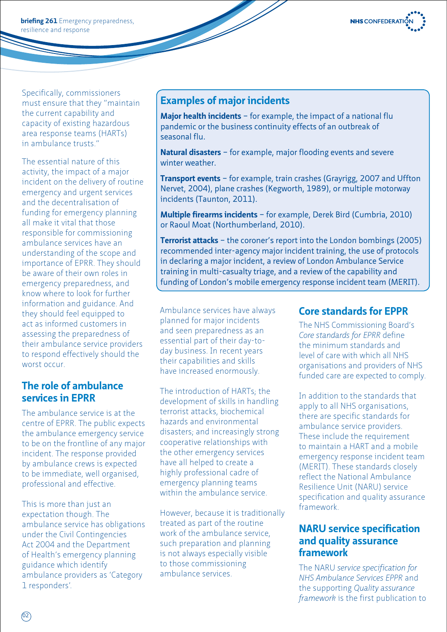

**briefing 261** Emergency preparedness, resilience and response

Specifically, commissioners must ensure that they "maintain the current capability and capacity of existing hazardous area response teams (HARTs) in ambulance trusts."

The essential nature of this activity, the impact of a major incident on the delivery of routine emergency and urgent services and the decentralisation of funding for emergency planning all make it vital that those responsible for commissioning ambulance services have an understanding of the scope and importance of EPRR. They should be aware of their own roles in emergency preparedness, and know where to look for further information and guidance. And they should feel equipped to act as informed customers in assessing the preparedness of their ambulance service providers to respond effectively should the worst occur.

## **The role of ambulance services in EPRR**

The ambulance service is at the centre of EPRR. The public expects the ambulance emergency service to be on the frontline of any major incident. The response provided by ambulance crews is expected to be immediate, well organised, professional and effective.

This is more than just an expectation though. The ambulance service has obligations under the Civil Contingencies Act 2004 and the Department of Health's emergency planning guidance which identify ambulance providers as 'Category 1 responders'.

## **Examples of major incidents**

**Major health incidents** – for example, the impact of a national flu pandemic or the business continuity effects of an outbreak of seasonal flu.

**Natural disasters** – for example, major flooding events and severe winter weather.

**Transport events** – for example, train crashes (Grayrigg, 2007 and Uffton Nervet, 2004), plane crashes (Kegworth, 1989), or multiple motorway incidents (Taunton, 2011).

**Multiple firearms incidents** – for example, Derek Bird (Cumbria, 2010) or Raoul Moat (Northumberland, 2010).

**Terrorist attacks** – the coroner's report into the London bombings (2005) recommended inter-agency major incident training, the use of protocols in declaring a major incident, a review of London Ambulance Service training in multi-casualty triage, and a review of the capability and funding of London's mobile emergency response incident team (MERIT).

Ambulance services have always planned for major incidents and seen preparedness as an essential part of their day-today business. In recent years their capabilities and skills have increased enormously.

The introduction of HARTs; the development of skills in handling terrorist attacks, biochemical hazards and environmental disasters; and increasingly strong cooperative relationships with the other emergency services have all helped to create a highly professional cadre of emergency planning teams within the ambulance service.

However, because it is traditionally treated as part of the routine work of the ambulance service, such preparation and planning is not always especially visible to those commissioning ambulance services.

## **Core standards for EPPR**

The NHS Commissioning Board's *Core standards for EPRR* define the minimum standards and level of care with which all NHS organisations and providers of NHS funded care are expected to comply.

In addition to the standards that apply to all NHS organisations, there are specific standards for ambulance service providers. These include the requirement to maintain a HART and a mobile emergency response incident team (MERIT). These standards closely reflect the National Ambulance Resilience Unit (NARU) service specification and quality assurance framework.

### **NARU service specification and quality assurance framework**

The NARU *service specification for NHS Ambulance Services EPPR* and the supporting *Quality assurance framework* is the first publication to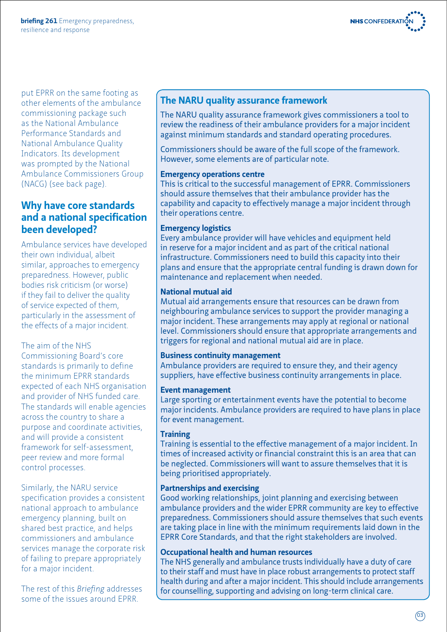

put EPRR on the same footing as other elements of the ambulance commissioning package such as the National Ambulance Performance Standards and National Ambulance Quality Indicators. Its development was prompted by the National Ambulance Commissioners Group (NACG) (see back page).

## **Why have core standards and a national specification been developed?**

Ambulance services have developed their own individual, albeit similar, approaches to emergency preparedness. However, public bodies risk criticism (or worse) if they fail to deliver the quality of service expected of them, particularly in the assessment of the effects of a major incident.

#### The aim of the NHS

Commissioning Board's core standards is primarily to define the minimum EPRR standards expected of each NHS organisation and provider of NHS funded care. The standards will enable agencies across the country to share a purpose and coordinate activities, and will provide a consistent framework for self-assessment, peer review and more formal control processes.

Similarly, the NARU service specification provides a consistent national approach to ambulance emergency planning, built on shared best practice, and helps commissioners and ambulance services manage the corporate risk of failing to prepare appropriately for a major incident.

The rest of this *Briefing* addresses some of the issues around EPRR.

## **The NARU quality assurance framework**

The NARU quality assurance framework gives commissioners a tool to review the readiness of their ambulance providers for a major incident against minimum standards and standard operating procedures.

Commissioners should be aware of the full scope of the framework. However, some elements are of particular note.

#### **Emergency operations centre**

This is critical to the successful management of EPRR. Commissioners should assure themselves that their ambulance provider has the capability and capacity to effectively manage a major incident through their operations centre.

#### **Emergency logistics**

Every ambulance provider will have vehicles and equipment held in reserve for a major incident and as part of the critical national infrastructure. Commissioners need to build this capacity into their plans and ensure that the appropriate central funding is drawn down for maintenance and replacement when needed.

#### **National mutual aid**

Mutual aid arrangements ensure that resources can be drawn from neighbouring ambulance services to support the provider managing a major incident. These arrangements may apply at regional or national level. Commissioners should ensure that appropriate arrangements and triggers for regional and national mutual aid are in place.

#### **Business continuity management**

Ambulance providers are required to ensure they, and their agency suppliers, have effective business continuity arrangements in place.

#### **Event management**

Large sporting or entertainment events have the potential to become major incidents. Ambulance providers are required to have plans in place for event management.

#### **Training**

Training is essential to the effective management of a major incident. In times of increased activity or financial constraint this is an area that can be neglected. Commissioners will want to assure themselves that it is being prioritised appropriately.

#### **Partnerships and exercising**

Good working relationships, joint planning and exercising between ambulance providers and the wider EPRR community are key to effective preparedness. Commissioners should assure themselves that such events are taking place in line with the minimum requirements laid down in the EPRR Core Standards, and that the right stakeholders are involved.

#### **Occupational health and human resources**

The NHS generally and ambulance trusts individually have a duty of care to their staff and must have in place robust arrangements to protect staff health during and after a major incident. This should include arrangements for counselling, supporting and advising on long-term clinical care.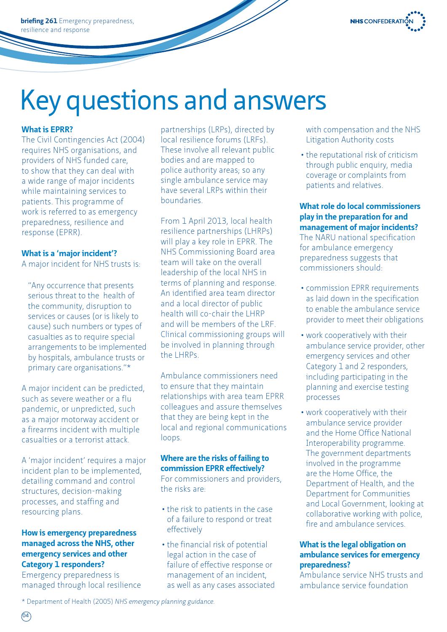**briefing 261** Emergency preparedness, resilience and response



## Key questions and answers

#### **What is EPRR?**

The Civil Contingencies Act (2004) requires NHS organisations, and providers of NHS funded care, to show that they can deal with a wide range of major incidents while maintaining services to patients. This programme of work is referred to as emergency preparedness, resilience and response (EPRR).

#### **What is a 'major incident'?**

A major incident for NHS trusts is:

"Any occurrence that presents serious threat to the health of the community, disruption to services or causes (or is likely to cause) such numbers or types of casualties as to require special arrangements to be implemented by hospitals, ambulance trusts or primary care organisations."\*

A major incident can be predicted, such as severe weather or a flu pandemic, or unpredicted, such as a major motorway accident or a firearms incident with multiple casualties or a terrorist attack.

A 'major incident' requires a major incident plan to be implemented, detailing command and control structures, decision-making processes, and staffing and resourcing plans.

#### **How is emergency preparedness managed across the NHS, other emergency services and other Category 1 responders?**

Emergency preparedness is managed through local resilience partnerships (LRPs), directed by local resilience forums (LRFs). These involve all relevant public bodies and are mapped to police authority areas; so any single ambulance service may have several LRPs within their boundaries.

From 1 April 2013, local health resilience partnerships (LHRPs) will play a key role in EPRR. The NHS Commissioning Board area team will take on the overall leadership of the local NHS in terms of planning and response. An identified area team director and a local director of public health will co-chair the LHRP and will be members of the LRF. Clinical commissioning groups will be involved in planning through the LHRPs.

Ambulance commissioners need to ensure that they maintain relationships with area team EPRR colleagues and assure themselves that they are being kept in the local and regional communications loops.

#### **Where are the risks of failing to commission EPRR effectively?**

For commissioners and providers, the risks are:

- the risk to patients in the case of a failure to respond or treat effectively
- the financial risk of potential legal action in the case of failure of effective response or management of an incident, as well as any cases associated

with compensation and the NHS Litigation Authority costs

• the reputational risk of criticism through public enquiry, media coverage or complaints from patients and relatives.

**What role do local commissioners play in the preparation for and management of major incidents?** The NARU national specification for ambulance emergency preparedness suggests that commissioners should:

- • commission EPRR requirements as laid down in the specification to enable the ambulance service provider to meet their obligations
- work cooperatively with their ambulance service provider, other emergency services and other Category 1 and 2 responders, including participating in the planning and exercise testing processes
- work cooperatively with their ambulance service provider and the Home Office National Interoperability programme. The government departments involved in the programme are the Home Office, the Department of Health, and the Department for Communities and Local Government, looking at collaborative working with police, fire and ambulance services.

#### **What is the legal obligation on ambulance services for emergency preparedness?**

Ambulance service NHS trusts and ambulance service foundation

\* Department of Health (2005) *NHS emergency planning guidance*.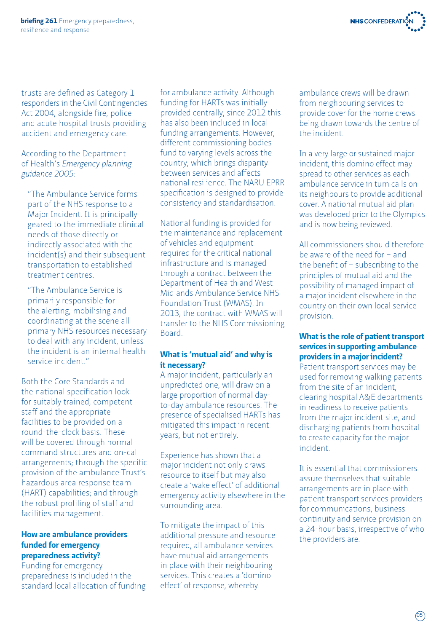

trusts are defined as Category 1 responders in the Civil Contingencies Act 2004, alongside fire, police and acute hospital trusts providing accident and emergency care.

According to the Department of Health's *Emergency planning guidance 2005*:

"The Ambulance Service forms part of the NHS response to a Major Incident. It is principally geared to the immediate clinical needs of those directly or indirectly associated with the incident(s) and their subsequent transportation to established treatment centres.

"The Ambulance Service is primarily responsible for the alerting, mobilising and coordinating at the scene all primary NHS resources necessary to deal with any incident, unless the incident is an internal health service incident."

Both the Core Standards and the national specification look for suitably trained, competent staff and the appropriate facilities to be provided on a round-the-clock basis. These will be covered through normal command structures and on-call arrangements; through the specific provision of the ambulance Trust's hazardous area response team (HART) capabilities; and through the robust profiling of staff and facilities management.

#### **How are ambulance providers funded for emergency preparedness activity?**

Funding for emergency preparedness is included in the standard local allocation of funding for ambulance activity. Although funding for HARTs was initially provided centrally, since 2012 this has also been included in local funding arrangements. However, different commissioning bodies fund to varying levels across the country, which brings disparity between services and affects national resilience. The NARU EPRR specification is designed to provide consistency and standardisation.

National funding is provided for the maintenance and replacement of vehicles and equipment required for the critical national infrastructure and is managed through a contract between the Department of Health and West Midlands Ambulance Service NHS Foundation Trust (WMAS). In 2013, the contract with WMAS will transfer to the NHS Commissioning Board.

#### **What is 'mutual aid' and why is it necessary?**

A major incident, particularly an unpredicted one, will draw on a large proportion of normal dayto-day ambulance resources. The presence of specialised HARTs has mitigated this impact in recent years, but not entirely.

Experience has shown that a major incident not only draws resource to itself but may also create a 'wake effect' of additional emergency activity elsewhere in the surrounding area.

To mitigate the impact of this additional pressure and resource required, all ambulance services have mutual aid arrangements in place with their neighbouring services. This creates a 'domino effect' of response, whereby

ambulance crews will be drawn from neighbouring services to provide cover for the home crews being drawn towards the centre of the incident.

In a very large or sustained major incident, this domino effect may spread to other services as each ambulance service in turn calls on its neighbours to provide additional cover. A national mutual aid plan was developed prior to the Olympics and is now being reviewed.

All commissioners should therefore be aware of the need for – and the benefit of – subscribing to the principles of mutual aid and the possibility of managed impact of a major incident elsewhere in the country on their own local service provision.

#### **What is the role of patient transport services in supporting ambulance providers in a major incident?**

Patient transport services may be used for removing walking patients from the site of an incident, clearing hospital A&E departments in readiness to receive patients from the major incident site, and discharging patients from hospital to create capacity for the major incident.

It is essential that commissioners assure themselves that suitable arrangements are in place with patient transport services providers for communications, business continuity and service provision on a 24-hour basis, irrespective of who the providers are.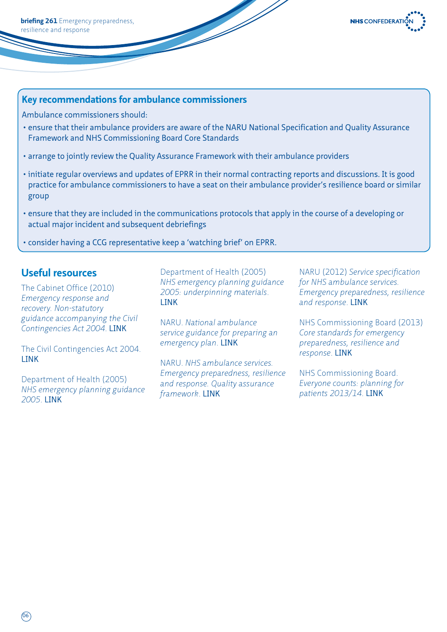

#### **Key recommendations for ambulance commissioners**

Ambulance commissioners should:

- ensure that their ambulance providers are aware of the NARU National Specification and Quality Assurance Framework and NHS Commissioning Board Core Standards
- arrange to jointly review the Quality Assurance Framework with their ambulance providers
- initiate regular overviews and updates of EPRR in their normal contracting reports and discussions. It is good practice for ambulance commissioners to have a seat on their ambulance provider's resilience board or similar group
- ensure that they are included in the communications protocols that apply in the course of a developing or actual major incident and subsequent debriefings
- consider having a CCG representative keep a 'watching brief' on EPRR.

### **Useful resources**

The Cabinet Office (2010) *Emergency response and recovery. Non-statutory guidance accompanying the Civil Contingencies Act 2004*. [LINK](https://www.gov.uk/emergency-response-and-recovery)

The Civil Contingencies Act 2004. [LINK](http://www.legislation.gov.uk/ukpga/2004/36/contents)

Department of Health (2005) *NHS emergency planning guidance 2005*. [LINK](http://www.dh.gov.uk/prod_consum_dh/groups/dh_digitalassets/%40dh/%40en/documents/digitalasset/dh_4121236.pdf)

Department of Health (2005) *NHS emergency planning guidance 2005: underpinning materials*. [LINK](http://www.dh.gov.uk/prod_consum_dh/groups/dh_digitalassets/%40dh/%40en/documents/digitalasset/dh_4121230.pdf)

NARU. *National ambulance service guidance for preparing an emergency plan*. [LINK](http://naru.org.uk/wp-content/uploads/2013/02/NARU-AACE-PEP-GUIDANCE-v8Fas.pdf)

NARU. *NHS ambulance services. Emergency preparedness, resilience and response. Quality assurance framework*. [LINK](http://naru.org.uk/wp-content/uploads/2013/02/Delivery-of-Services-Assurance-Framework.pdf)

NARU (2012) *Service specification for NHS ambulance services. Emergency preparedness, resilience and response*. [LINK](http://naru.org.uk/wp-content/uploads/2013/02/Nov-2012-EPRR-Service-Spec.pdf)

NHS Commissioning Board (2013) *Core standards for emergency preparedness, resilience and response*. [LINK](http://www.commissioningboard.nhs.uk/ourwork/gov/eprr/)

NHS Commissioning Board. *Everyone counts: planning for patients 2013/14*. [LINK](http://www.commissioningboard.nhs.uk/everyonecounts/)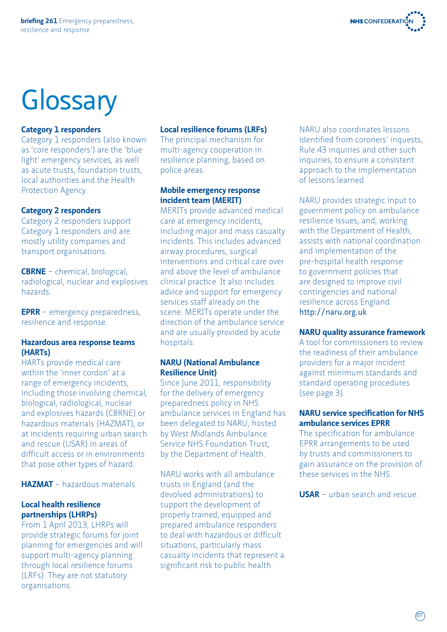

# **Glossary**

#### **Category 1 responders**

Category 1 responders (also known as 'core responders') are the 'blue light' emergency services, as well as acute trusts, foundation trusts, local authorities and the Health Protection Agency.

#### **Category 2 responders**

Category 2 responders support Category 1 responders and are mostly utility companies and transport organisations.

**CBRNE** – chemical, biological, radiological, nuclear and explosives hazards.

**EPRR** – emergency preparedness, resilience and response.

#### **Hazardous area response teams (HARTs)**

HARTs provide medical care within the 'inner cordon' at a range of emergency incidents, including those involving chemical, biological, radiological, nuclear and explosives hazards (CBRNE) or hazardous materials (HAZMAT), or at incidents requiring urban search and rescue (USAR) in areas of difficult access or in environments that pose other types of hazard.

**HAZMAT** – hazardous materials.

#### **Local health resilience partnerships (LHRPs)**

From 1 April 2013, LHRPs will provide strategic forums for joint planning for emergencies and will support multi-agency planning through local resilience forums (LRFs). They are not statutory organisations.

#### **Local resilience forums (LRFs)**

The principal mechanism for multi-agency cooperation in resilience planning, based on police areas.

#### **Mobile emergency response incident team (MERIT)**

MERITs provide advanced medical care at emergency incidents, including major and mass casualty incidents. This includes advanced airway procedures, surgical interventions and critical care over and above the level of ambulance clinical practice. It also includes advice and support for emergency services staff already on the scene. MERITs operate under the direction of the ambulance service and are usually provided by acute hospitals.

#### **NARU (National Ambulance Resilience Unit)**

Since June 2011, responsibility for the delivery of emergency preparedness policy in NHS ambulance services in England has been delegated to NARU, hosted by West Midlands Ambulance Service NHS Foundation Trust, by the Department of Health.

NARU works with all ambulance trusts in England (and the devolved administrations) to support the development of properly trained, equipped and prepared ambulance responders to deal with hazardous or difficult situations, particularly mass casualty incidents that represent a significant risk to public health.

NARU also coordinates lessons identified from coroners' inquests, Rule 43 inquiries and other such inquiries, to ensure a consistent approach to the implementation of lessons learned.

NARU provides strategic input to government policy on ambulance resilience issues, and, working with the Department of Health, assists with national coordination and implementation of the pre-hospital health response to government policies that are designed to improve civil contingencies and national resilience across England. http://naru.org.uk

#### **NARU quality assurance framework**

A tool for commissioners to review the readiness of their ambulance providers for a major incident against minimum standards and standard operating procedures (see page 3).

#### **NARU service specification for NHS ambulance services EPRR**

The specification for ambulance EPRR arrangements to be used by trusts and commissioners to gain assurance on the provision of these services in the NHS.

**USAR** – urban search and rescue.